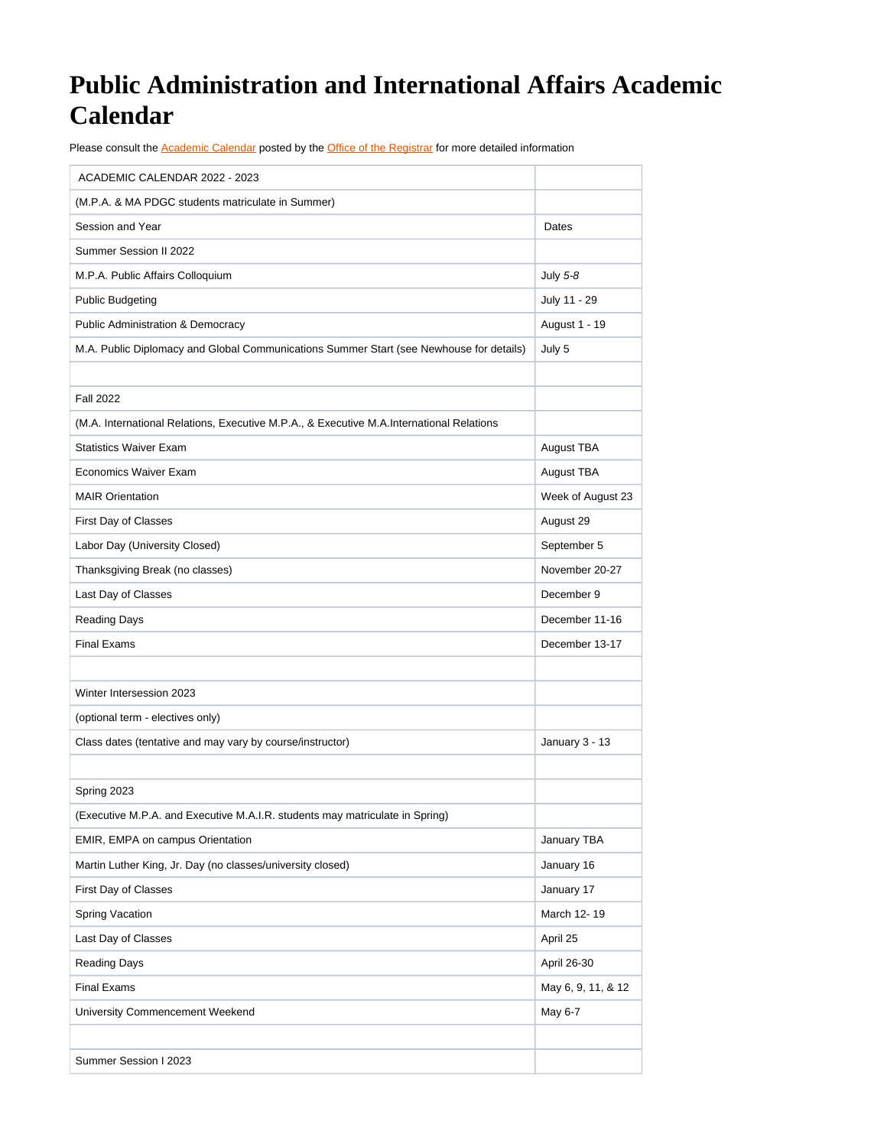## **Public Administration and International Affairs Academic Calendar**

Please consult the [Academic Calendar](https://www.syracuse.edu/academics/calendars/?redirect) posted by the [Office of the Registrar](https://registrar.syr.edu/) for more detailed information

| ACADEMIC CALENDAR 2022 - 2023                                                            |                    |
|------------------------------------------------------------------------------------------|--------------------|
| (M.P.A. & MA PDGC students matriculate in Summer)                                        |                    |
| Session and Year                                                                         | Dates              |
| Summer Session II 2022                                                                   |                    |
| M.P.A. Public Affairs Colloquium                                                         | July 5-8           |
| <b>Public Budgeting</b>                                                                  | July 11 - 29       |
| <b>Public Administration &amp; Democracy</b>                                             | August 1 - 19      |
| M.A. Public Diplomacy and Global Communications Summer Start (see Newhouse for details)  | July 5             |
|                                                                                          |                    |
| <b>Fall 2022</b>                                                                         |                    |
| (M.A. International Relations, Executive M.P.A., & Executive M.A.International Relations |                    |
| <b>Statistics Waiver Exam</b>                                                            | August TBA         |
| Economics Waiver Exam                                                                    | August TBA         |
| <b>MAIR Orientation</b>                                                                  | Week of August 23  |
| First Day of Classes                                                                     | August 29          |
| Labor Day (University Closed)                                                            | September 5        |
| Thanksgiving Break (no classes)                                                          | November 20-27     |
| Last Day of Classes                                                                      | December 9         |
| <b>Reading Days</b>                                                                      | December 11-16     |
| <b>Final Exams</b>                                                                       | December 13-17     |
|                                                                                          |                    |
| Winter Intersession 2023                                                                 |                    |
| (optional term - electives only)                                                         |                    |
| Class dates (tentative and may vary by course/instructor)                                | January 3 - 13     |
|                                                                                          |                    |
| Spring 2023                                                                              |                    |
| (Executive M.P.A. and Executive M.A.I.R. students may matriculate in Spring)             |                    |
| EMIR, EMPA on campus Orientation                                                         | January TBA        |
| Martin Luther King, Jr. Day (no classes/university closed)                               | January 16         |
| First Day of Classes                                                                     | January 17         |
| Spring Vacation                                                                          | March 12-19        |
| Last Day of Classes                                                                      | April 25           |
| <b>Reading Days</b>                                                                      | April 26-30        |
| Final Exams                                                                              | May 6, 9, 11, & 12 |
| University Commencement Weekend                                                          | May 6-7            |
|                                                                                          |                    |
| Summer Session I 2023                                                                    |                    |
|                                                                                          |                    |